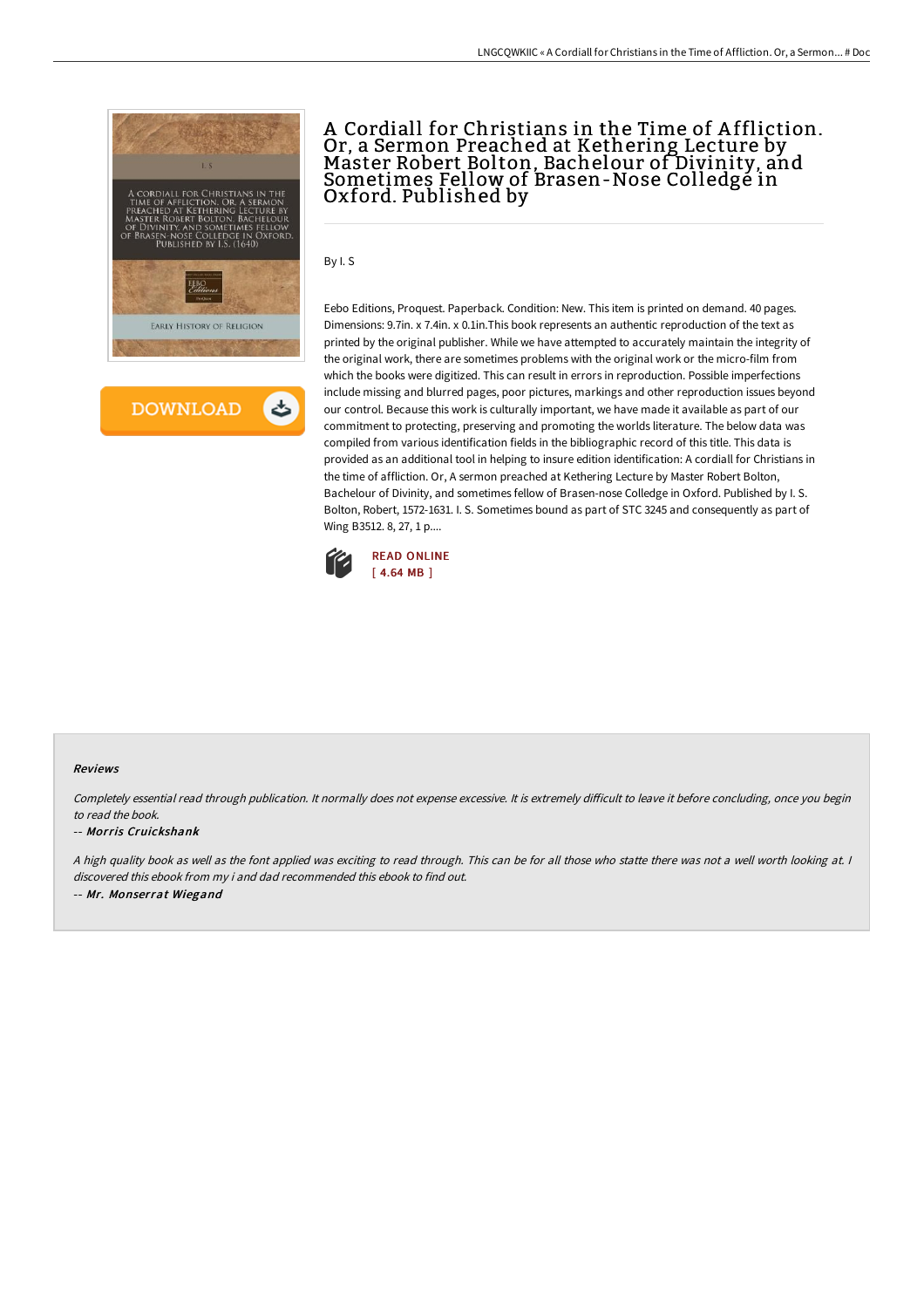



# A Cordiall for Christians in the Time of Affliction.<br>Or, a Sermon Preached at Kethering Lecture by<br>Master Robert Bolton, Bachelour of Divinity, and Sometimes Fellow of Brasen-Nose Colledge in Oxford. Published by

By I. S

Eebo Editions, Proquest. Paperback. Condition: New. This item is printed on demand. 40 pages. Dimensions: 9.7in. x 7.4in. x 0.1in.This book represents an authentic reproduction of the text as printed by the original publisher. While we have attempted to accurately maintain the integrity of the original work, there are sometimes problems with the original work or the micro-film from which the books were digitized. This can result in errors in reproduction. Possible imperfections include missing and blurred pages, poor pictures, markings and other reproduction issues beyond our control. Because this work is culturally important, we have made it available as part of our commitment to protecting, preserving and promoting the worlds literature. The below data was compiled from various identification fields in the bibliographic record of this title. This data is provided as an additional tool in helping to insure edition identification: A cordiall for Christians in the time of affliction. Or, A sermon preached at Kethering Lecture by Master Robert Bolton, Bachelour of Divinity, and sometimes fellow of Brasen-nose Colledge in Oxford. Published by I. S. Bolton, Robert, 1572-1631. I. S. Sometimes bound as part of STC 3245 and consequently as part of Wing B3512. 8, 27, 1 p....



#### Reviews

Completely essential read through publication. It normally does not expense excessive. It is extremely difficult to leave it before concluding, once you begin to read the book.

#### -- Morris Cruickshank

A high quality book as well as the font applied was exciting to read through. This can be for all those who statte there was not a well worth looking at. I discovered this ebook from my i and dad recommended this ebook to find out. -- Mr. Monserrat Wiegand